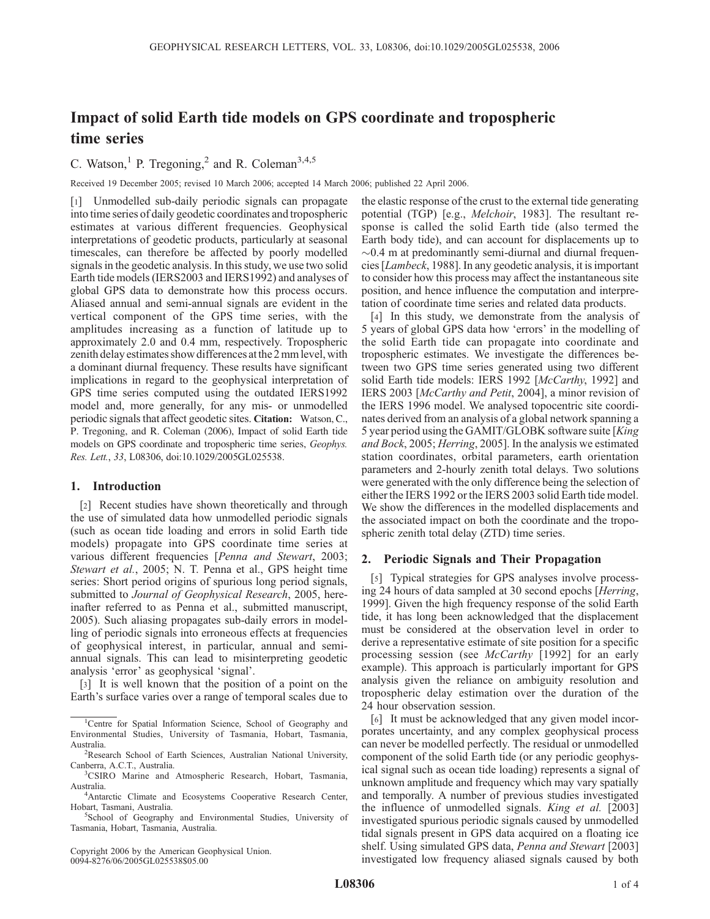# Impact of solid Earth tide models on GPS coordinate and tropospheric time series

C. Watson,<sup>1</sup> P. Tregoning,<sup>2</sup> and R. Coleman<sup>3,4,5</sup>

Received 19 December 2005; revised 10 March 2006; accepted 14 March 2006; published 22 April 2006.

[1] Unmodelled sub-daily periodic signals can propagate into time series of daily geodetic coordinates and tropospheric estimates at various different frequencies. Geophysical interpretations of geodetic products, particularly at seasonal timescales, can therefore be affected by poorly modelled signals in the geodetic analysis. In this study, we use two solid Earth tide models (IERS2003 and IERS1992) and analyses of global GPS data to demonstrate how this process occurs. Aliased annual and semi-annual signals are evident in the vertical component of the GPS time series, with the amplitudes increasing as a function of latitude up to approximately 2.0 and 0.4 mm, respectively. Tropospheric zenith delay estimates show differences atthe 2 mmlevel, with a dominant diurnal frequency. These results have significant implications in regard to the geophysical interpretation of GPS time series computed using the outdated IERS1992 model and, more generally, for any mis- or unmodelled periodic signals that affect geodetic sites. Citation: Watson, C., P. Tregoning, and R. Coleman (2006), Impact of solid Earth tide models on GPS coordinate and tropospheric time series, Geophys. Res. Lett., 33, L08306, doi:10.1029/2005GL025538.

### 1. Introduction

[2] Recent studies have shown theoretically and through the use of simulated data how unmodelled periodic signals (such as ocean tide loading and errors in solid Earth tide models) propagate into GPS coordinate time series at various different frequencies [Penna and Stewart, 2003; Stewart et al., 2005; N. T. Penna et al., GPS height time series: Short period origins of spurious long period signals, submitted to Journal of Geophysical Research, 2005, hereinafter referred to as Penna et al., submitted manuscript, 2005). Such aliasing propagates sub-daily errors in modelling of periodic signals into erroneous effects at frequencies of geophysical interest, in particular, annual and semiannual signals. This can lead to misinterpreting geodetic analysis 'error' as geophysical 'signal'.

[3] It is well known that the position of a point on the Earth's surface varies over a range of temporal scales due to

Copyright 2006 by the American Geophysical Union. 0094-8276/06/2005GL025538\$05.00

the elastic response of the crust to the external tide generating potential (TGP) [e.g., Melchoir, 1983]. The resultant response is called the solid Earth tide (also termed the Earth body tide), and can account for displacements up to  $\sim$ 0.4 m at predominantly semi-diurnal and diurnal frequencies [Lambeck, 1988]. In any geodetic analysis, it is important to consider how this process may affect the instantaneous site position, and hence influence the computation and interpretation of coordinate time series and related data products.

[4] In this study, we demonstrate from the analysis of 5 years of global GPS data how 'errors' in the modelling of the solid Earth tide can propagate into coordinate and tropospheric estimates. We investigate the differences between two GPS time series generated using two different solid Earth tide models: IERS 1992 [McCarthy, 1992] and IERS 2003 [McCarthy and Petit, 2004], a minor revision of the IERS 1996 model. We analysed topocentric site coordinates derived from an analysis of a global network spanning a 5 year period using the GAMIT/GLOBK software suite [King] and Bock, 2005; Herring, 2005]. In the analysis we estimated station coordinates, orbital parameters, earth orientation parameters and 2-hourly zenith total delays. Two solutions were generated with the only difference being the selection of either the IERS 1992 or the IERS 2003 solid Earth tide model. We show the differences in the modelled displacements and the associated impact on both the coordinate and the tropospheric zenith total delay (ZTD) time series.

## 2. Periodic Signals and Their Propagation

[5] Typical strategies for GPS analyses involve processing 24 hours of data sampled at 30 second epochs [Herring, 1999]. Given the high frequency response of the solid Earth tide, it has long been acknowledged that the displacement must be considered at the observation level in order to derive a representative estimate of site position for a specific processing session (see McCarthy [1992] for an early example). This approach is particularly important for GPS analysis given the reliance on ambiguity resolution and tropospheric delay estimation over the duration of the 24 hour observation session.

[6] It must be acknowledged that any given model incorporates uncertainty, and any complex geophysical process can never be modelled perfectly. The residual or unmodelled component of the solid Earth tide (or any periodic geophysical signal such as ocean tide loading) represents a signal of unknown amplitude and frequency which may vary spatially and temporally. A number of previous studies investigated the influence of unmodelled signals. *King et al.* [2003] investigated spurious periodic signals caused by unmodelled tidal signals present in GPS data acquired on a floating ice shelf. Using simulated GPS data, Penna and Stewart [2003] investigated low frequency aliased signals caused by both

<sup>&</sup>lt;sup>1</sup>Centre for Spatial Information Science, School of Geography and Environmental Studies, University of Tasmania, Hobart, Tasmania, Australia. <sup>2</sup>

Research School of Earth Sciences, Australian National University, Canberra, A.C.T., Australia.

<sup>&</sup>lt;sup>3</sup>CSIRO Marine and Atmospheric Research, Hobart, Tasmania, Australia.

<sup>&</sup>lt;sup>4</sup>Antarctic Climate and Ecosystems Cooperative Research Center, Hobart, Tasmani, Australia. <sup>5</sup>

<sup>&</sup>lt;sup>5</sup>School of Geography and Environmental Studies, University of Tasmania, Hobart, Tasmania, Australia.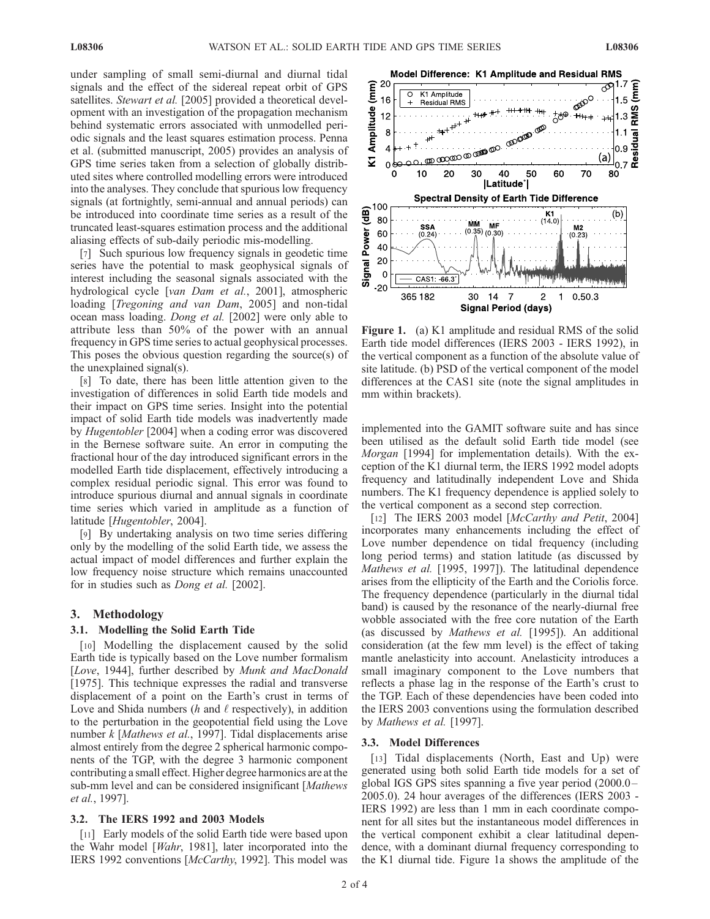under sampling of small semi-diurnal and diurnal tidal signals and the effect of the sidereal repeat orbit of GPS satellites. Stewart et al. [2005] provided a theoretical development with an investigation of the propagation mechanism behind systematic errors associated with unmodelled periodic signals and the least squares estimation process. Penna et al. (submitted manuscript, 2005) provides an analysis of GPS time series taken from a selection of globally distributed sites where controlled modelling errors were introduced into the analyses. They conclude that spurious low frequency signals (at fortnightly, semi-annual and annual periods) can be introduced into coordinate time series as a result of the truncated least-squares estimation process and the additional aliasing effects of sub-daily periodic mis-modelling.

[7] Such spurious low frequency signals in geodetic time series have the potential to mask geophysical signals of interest including the seasonal signals associated with the hydrological cycle [van Dam et al., 2001], atmospheric loading [*Tregoning and van Dam*, 2005] and non-tidal ocean mass loading. Dong et al. [2002] were only able to attribute less than 50% of the power with an annual frequency in GPS time series to actual geophysical processes. This poses the obvious question regarding the source(s) of the unexplained signal(s).

[8] To date, there has been little attention given to the investigation of differences in solid Earth tide models and their impact on GPS time series. Insight into the potential impact of solid Earth tide models was inadvertently made by Hugentobler [2004] when a coding error was discovered in the Bernese software suite. An error in computing the fractional hour of the day introduced significant errors in the modelled Earth tide displacement, effectively introducing a complex residual periodic signal. This error was found to introduce spurious diurnal and annual signals in coordinate time series which varied in amplitude as a function of latitude [Hugentobler, 2004].

[9] By undertaking analysis on two time series differing only by the modelling of the solid Earth tide, we assess the actual impact of model differences and further explain the low frequency noise structure which remains unaccounted for in studies such as Dong et al. [2002].

### 3. Methodology

## 3.1. Modelling the Solid Earth Tide

[10] Modelling the displacement caused by the solid Earth tide is typically based on the Love number formalism [Love, 1944], further described by Munk and MacDonald [1975]. This technique expresses the radial and transverse displacement of a point on the Earth's crust in terms of Love and Shida numbers ( $h$  and  $\ell$  respectively), in addition to the perturbation in the geopotential field using the Love number k [Mathews et al., 1997]. Tidal displacements arise almost entirely from the degree 2 spherical harmonic components of the TGP, with the degree 3 harmonic component contributing a small effect. Higher degree harmonics are at the sub-mm level and can be considered insignificant [Mathews] et al., 1997].

## 3.2. The IERS 1992 and 2003 Models

[11] Early models of the solid Earth tide were based upon the Wahr model [Wahr, 1981], later incorporated into the IERS 1992 conventions [McCarthy, 1992]. This model was



Figure 1. (a) K1 amplitude and residual RMS of the solid Earth tide model differences (IERS 2003 - IERS 1992), in the vertical component as a function of the absolute value of site latitude. (b) PSD of the vertical component of the model differences at the CAS1 site (note the signal amplitudes in mm within brackets).

implemented into the GAMIT software suite and has since been utilised as the default solid Earth tide model (see Morgan [1994] for implementation details). With the exception of the K1 diurnal term, the IERS 1992 model adopts frequency and latitudinally independent Love and Shida numbers. The K1 frequency dependence is applied solely to the vertical component as a second step correction.

[12] The IERS 2003 model [McCarthy and Petit, 2004] incorporates many enhancements including the effect of Love number dependence on tidal frequency (including long period terms) and station latitude (as discussed by Mathews et al. [1995, 1997]). The latitudinal dependence arises from the ellipticity of the Earth and the Coriolis force. The frequency dependence (particularly in the diurnal tidal band) is caused by the resonance of the nearly-diurnal free wobble associated with the free core nutation of the Earth (as discussed by Mathews et al. [1995]). An additional consideration (at the few mm level) is the effect of taking mantle anelasticity into account. Anelasticity introduces a small imaginary component to the Love numbers that reflects a phase lag in the response of the Earth's crust to the TGP. Each of these dependencies have been coded into the IERS 2003 conventions using the formulation described by Mathews et al. [1997].

#### 3.3. Model Differences

[13] Tidal displacements (North, East and Up) were generated using both solid Earth tide models for a set of global IGS GPS sites spanning a five year period (2000.0 – 2005.0). 24 hour averages of the differences (IERS 2003 - IERS 1992) are less than 1 mm in each coordinate component for all sites but the instantaneous model differences in the vertical component exhibit a clear latitudinal dependence, with a dominant diurnal frequency corresponding to the K1 diurnal tide. Figure 1a shows the amplitude of the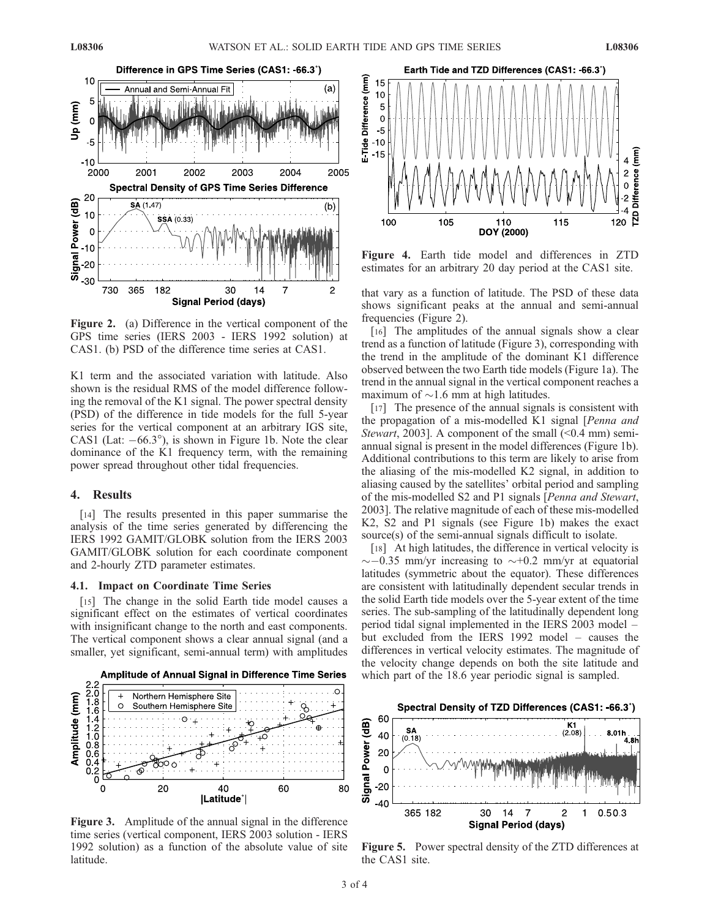

Figure 2. (a) Difference in the vertical component of the GPS time series (IERS 2003 - IERS 1992 solution) at CAS1. (b) PSD of the difference time series at CAS1.

K1 term and the associated variation with latitude. Also shown is the residual RMS of the model difference following the removal of the K1 signal. The power spectral density (PSD) of the difference in tide models for the full 5-year series for the vertical component at an arbitrary IGS site, CAS1 (Lat:  $-66.3^{\circ}$ ), is shown in Figure 1b. Note the clear dominance of the K1 frequency term, with the remaining power spread throughout other tidal frequencies.

## 4. Results

[14] The results presented in this paper summarise the analysis of the time series generated by differencing the IERS 1992 GAMIT/GLOBK solution from the IERS 2003 GAMIT/GLOBK solution for each coordinate component and 2-hourly ZTD parameter estimates.

## 4.1. Impact on Coordinate Time Series

[15] The change in the solid Earth tide model causes a significant effect on the estimates of vertical coordinates with insignificant change to the north and east components. The vertical component shows a clear annual signal (and a smaller, yet significant, semi-annual term) with amplitudes





Figure 3. Amplitude of the annual signal in the difference time series (vertical component, IERS 2003 solution - IERS 1992 solution) as a function of the absolute value of site latitude.



Figure 4. Earth tide model and differences in ZTD estimates for an arbitrary 20 day period at the CAS1 site.

that vary as a function of latitude. The PSD of these data shows significant peaks at the annual and semi-annual frequencies (Figure 2).

[16] The amplitudes of the annual signals show a clear trend as a function of latitude (Figure 3), corresponding with the trend in the amplitude of the dominant K1 difference observed between the two Earth tide models (Figure 1a). The trend in the annual signal in the vertical component reaches a maximum of  $\sim$ 1.6 mm at high latitudes.

[17] The presence of the annual signals is consistent with the propagation of a mis-modelled K1 signal [Penna and Stewart, 2003]. A component of the small  $($ <0.4 mm) semiannual signal is present in the model differences (Figure 1b). Additional contributions to this term are likely to arise from the aliasing of the mis-modelled K2 signal, in addition to aliasing caused by the satellites' orbital period and sampling of the mis-modelled S2 and P1 signals [Penna and Stewart, 2003]. The relative magnitude of each of these mis-modelled K2, S2 and P1 signals (see Figure 1b) makes the exact source(s) of the semi-annual signals difficult to isolate.

[18] At high latitudes, the difference in vertical velocity is  $\sim$  -0.35 mm/yr increasing to  $\sim$  +0.2 mm/yr at equatorial latitudes (symmetric about the equator). These differences are consistent with latitudinally dependent secular trends in the solid Earth tide models over the 5-year extent of the time series. The sub-sampling of the latitudinally dependent long period tidal signal implemented in the IERS 2003 model – but excluded from the IERS 1992 model – causes the differences in vertical velocity estimates. The magnitude of the velocity change depends on both the site latitude and which part of the 18.6 year periodic signal is sampled.



Figure 5. Power spectral density of the ZTD differences at the CAS1 site.